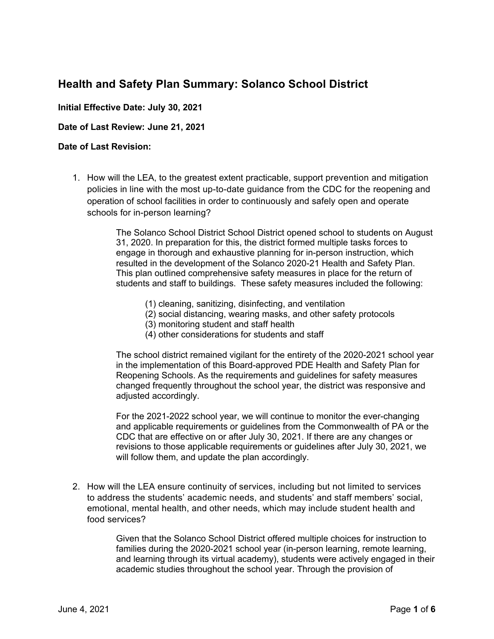# **Health and Safety Plan Summary: Solanco School District**

## **Initial Effective Date: July 30, 2021**

#### **Date of Last Review: June 21, 2021**

## **Date of Last Revision:**

1. How will the LEA, to the greatest extent practicable, support prevention and mitigation policies in line with the most up-to-date guidance from the CDC for the reopening and operation of school facilities in order to continuously and safely open and operate schools for in-person learning?

> The Solanco School District School District opened school to students on August 31, 2020. In preparation for this, the district formed multiple tasks forces to engage in thorough and exhaustive planning for in-person instruction, which resulted in the development of the Solanco 2020-21 Health and Safety Plan. This plan outlined comprehensive safety measures in place for the return of students and staff to buildings. These safety measures included the following:

- (1) cleaning, sanitizing, disinfecting, and ventilation
- (2) social distancing, wearing masks, and other safety protocols
- (3) monitoring student and staff health
- (4) other considerations for students and staff

The school district remained vigilant for the entirety of the 2020-2021 school year in the implementation of this Board-approved PDE Health and Safety Plan for Reopening Schools. As the requirements and guidelines for safety measures changed frequently throughout the school year, the district was responsive and adjusted accordingly.

For the 2021-2022 school year, we will continue to monitor the ever-changing and applicable requirements or guidelines from the Commonwealth of PA or the CDC that are effective on or after July 30, 2021. If there are any changes or revisions to those applicable requirements or guidelines after July 30, 2021, we will follow them, and update the plan accordingly.

2. How will the LEA ensure continuity of services, including but not limited to services to address the students' academic needs, and students' and staff members' social, emotional, mental health, and other needs, which may include student health and food services?

> Given that the Solanco School District offered multiple choices for instruction to families during the 2020-2021 school year (in-person learning, remote learning, and learning through its virtual academy), students were actively engaged in their academic studies throughout the school year. Through the provision of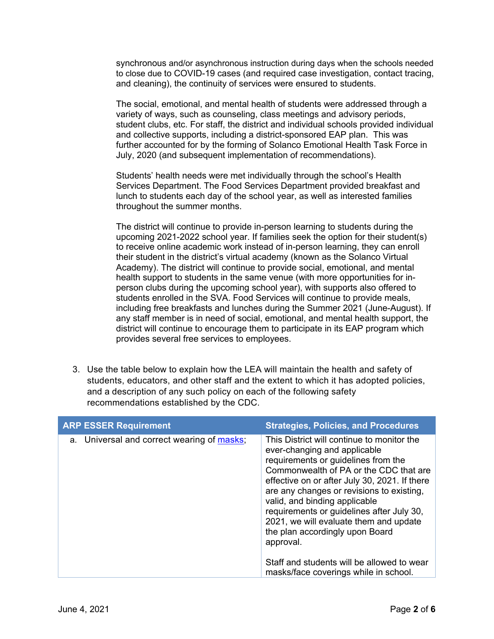synchronous and/or asynchronous instruction during days when the schools needed to close due to COVID-19 cases (and required case investigation, contact tracing, and cleaning), the continuity of services were ensured to students.

The social, emotional, and mental health of students were addressed through a variety of ways, such as counseling, class meetings and advisory periods, student clubs, etc. For staff, the district and individual schools provided individual and collective supports, including a district-sponsored EAP plan. This was further accounted for by the forming of Solanco Emotional Health Task Force in July, 2020 (and subsequent implementation of recommendations).

Students' health needs were met individually through the school's Health Services Department. The Food Services Department provided breakfast and lunch to students each day of the school year, as well as interested families throughout the summer months.

The district will continue to provide in-person learning to students during the upcoming 2021-2022 school year. If families seek the option for their student(s) to receive online academic work instead of in-person learning, they can enroll their student in the district's virtual academy (known as the Solanco Virtual Academy). The district will continue to provide social, emotional, and mental health support to students in the same venue (with more opportunities for inperson clubs during the upcoming school year), with supports also offered to students enrolled in the SVA. Food Services will continue to provide meals, including free breakfasts and lunches during the Summer 2021 (June-August). If any staff member is in need of social, emotional, and mental health support, the district will continue to encourage them to participate in its EAP program which provides several free services to employees.

3. Use the table below to explain how the LEA will maintain the health and safety of students, educators, and other staff and the extent to which it has adopted policies, and a description of any such policy on each of the following safety recommendations established by the CDC.

| <b>ARP ESSER Requirement</b>               | <b>Strategies, Policies, and Procedures</b>                                                                                                                                                                                                                                                                                                                                                                                                                                     |
|--------------------------------------------|---------------------------------------------------------------------------------------------------------------------------------------------------------------------------------------------------------------------------------------------------------------------------------------------------------------------------------------------------------------------------------------------------------------------------------------------------------------------------------|
| a. Universal and correct wearing of masks; | This District will continue to monitor the<br>ever-changing and applicable<br>requirements or guidelines from the<br>Commonwealth of PA or the CDC that are<br>effective on or after July 30, 2021. If there<br>are any changes or revisions to existing,<br>valid, and binding applicable<br>requirements or guidelines after July 30,<br>2021, we will evaluate them and update<br>the plan accordingly upon Board<br>approval.<br>Staff and students will be allowed to wear |
|                                            | masks/face coverings while in school.                                                                                                                                                                                                                                                                                                                                                                                                                                           |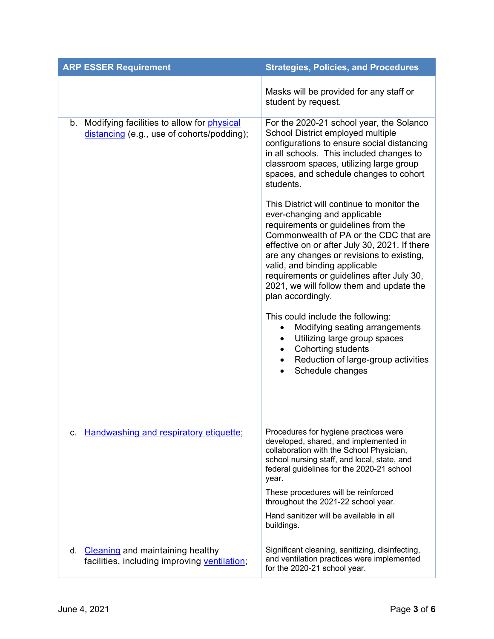| <b>ARP ESSER Requirement</b>                                                                | <b>Strategies, Policies, and Procedures</b>                                                                                                                                                                                                                                                                                                                                                              |
|---------------------------------------------------------------------------------------------|----------------------------------------------------------------------------------------------------------------------------------------------------------------------------------------------------------------------------------------------------------------------------------------------------------------------------------------------------------------------------------------------------------|
|                                                                                             | Masks will be provided for any staff or<br>student by request.                                                                                                                                                                                                                                                                                                                                           |
| b. Modifying facilities to allow for physical<br>distancing (e.g., use of cohorts/podding); | For the 2020-21 school year, the Solanco<br>School District employed multiple<br>configurations to ensure social distancing<br>in all schools. This included changes to<br>classroom spaces, utilizing large group<br>spaces, and schedule changes to cohort<br>students.                                                                                                                                |
|                                                                                             | This District will continue to monitor the<br>ever-changing and applicable<br>requirements or guidelines from the<br>Commonwealth of PA or the CDC that are<br>effective on or after July 30, 2021. If there<br>are any changes or revisions to existing,<br>valid, and binding applicable<br>requirements or guidelines after July 30,<br>2021, we will follow them and update the<br>plan accordingly. |
|                                                                                             | This could include the following:<br>Modifying seating arrangements<br>$\bullet$<br>Utilizing large group spaces<br>$\bullet$<br>Cohorting students<br>$\bullet$<br>Reduction of large-group activities<br>٠<br>Schedule changes<br>$\bullet$                                                                                                                                                            |
| Handwashing and respiratory etiquette;<br>c.                                                | Procedures for hygiene practices were<br>developed, shared, and implemented in<br>collaboration with the School Physician,<br>school nursing staff, and local, state, and<br>federal guidelines for the 2020-21 school<br>year.<br>These procedures will be reinforced<br>throughout the 2021-22 school year.<br>Hand sanitizer will be available in all                                                 |
|                                                                                             | buildings.                                                                                                                                                                                                                                                                                                                                                                                               |
| d. Cleaning and maintaining healthy<br>facilities, including improving ventilation;         | Significant cleaning, sanitizing, disinfecting,<br>and ventilation practices were implemented<br>for the 2020-21 school year.                                                                                                                                                                                                                                                                            |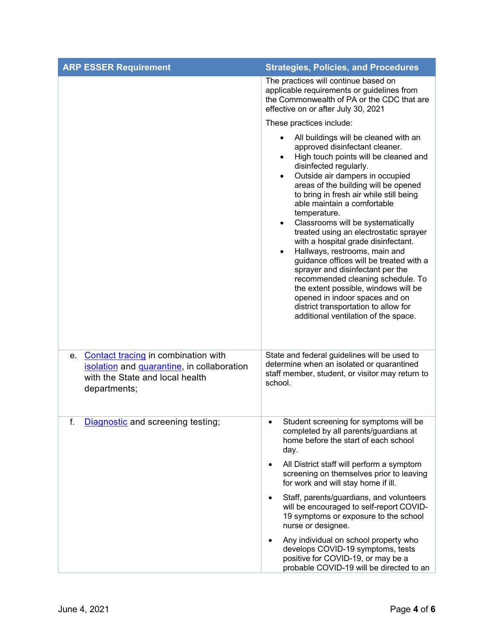| <b>ARP ESSER Requirement</b>                                                                                                               | <b>Strategies, Policies, and Procedures</b>                                                                                                                                                                                                                                                                                                                                                                                                                                                                                                                                                                                                                                                                                                                                                              |
|--------------------------------------------------------------------------------------------------------------------------------------------|----------------------------------------------------------------------------------------------------------------------------------------------------------------------------------------------------------------------------------------------------------------------------------------------------------------------------------------------------------------------------------------------------------------------------------------------------------------------------------------------------------------------------------------------------------------------------------------------------------------------------------------------------------------------------------------------------------------------------------------------------------------------------------------------------------|
|                                                                                                                                            | The practices will continue based on<br>applicable requirements or guidelines from<br>the Commonwealth of PA or the CDC that are<br>effective on or after July 30, 2021                                                                                                                                                                                                                                                                                                                                                                                                                                                                                                                                                                                                                                  |
|                                                                                                                                            | These practices include:                                                                                                                                                                                                                                                                                                                                                                                                                                                                                                                                                                                                                                                                                                                                                                                 |
|                                                                                                                                            | All buildings will be cleaned with an<br>$\bullet$<br>approved disinfectant cleaner.<br>High touch points will be cleaned and<br>$\bullet$<br>disinfected regularly.<br>Outside air dampers in occupied<br>$\bullet$<br>areas of the building will be opened<br>to bring in fresh air while still being<br>able maintain a comfortable<br>temperature.<br>Classrooms will be systematically<br>$\bullet$<br>treated using an electrostatic sprayer<br>with a hospital grade disinfectant.<br>Hallways, restrooms, main and<br>guidance offices will be treated with a<br>sprayer and disinfectant per the<br>recommended cleaning schedule. To<br>the extent possible, windows will be<br>opened in indoor spaces and on<br>district transportation to allow for<br>additional ventilation of the space. |
| Contact tracing in combination with<br>e.<br>isolation and quarantine, in collaboration<br>with the State and local health<br>departments; | State and federal guidelines will be used to<br>determine when an isolated or quarantined<br>staff member, student, or visitor may return to<br>school.                                                                                                                                                                                                                                                                                                                                                                                                                                                                                                                                                                                                                                                  |
| Diagnostic and screening testing;<br>f.                                                                                                    | Student screening for symptoms will be<br>completed by all parents/guardians at<br>home before the start of each school<br>day.                                                                                                                                                                                                                                                                                                                                                                                                                                                                                                                                                                                                                                                                          |
|                                                                                                                                            | All District staff will perform a symptom<br>$\bullet$<br>screening on themselves prior to leaving<br>for work and will stay home if ill.                                                                                                                                                                                                                                                                                                                                                                                                                                                                                                                                                                                                                                                                |
|                                                                                                                                            | Staff, parents/guardians, and volunteers<br>$\bullet$<br>will be encouraged to self-report COVID-<br>19 symptoms or exposure to the school<br>nurse or designee.                                                                                                                                                                                                                                                                                                                                                                                                                                                                                                                                                                                                                                         |
|                                                                                                                                            | Any individual on school property who<br>develops COVID-19 symptoms, tests<br>positive for COVID-19, or may be a<br>probable COVID-19 will be directed to an                                                                                                                                                                                                                                                                                                                                                                                                                                                                                                                                                                                                                                             |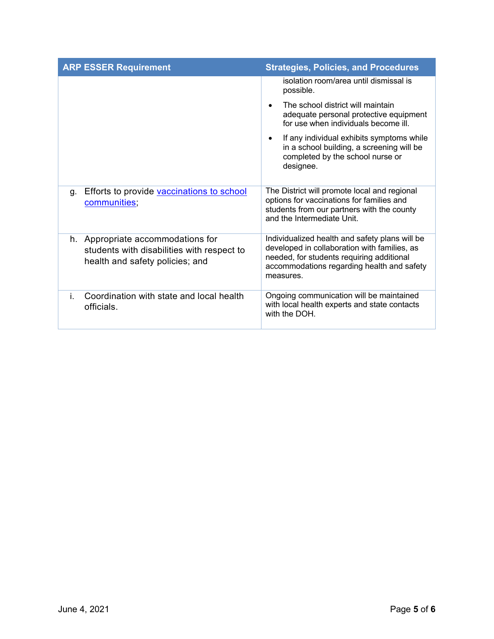| <b>ARP ESSER Requirement</b>                                                                                       | <b>Strategies, Policies, and Procedures</b>                                                                                                                                                            |
|--------------------------------------------------------------------------------------------------------------------|--------------------------------------------------------------------------------------------------------------------------------------------------------------------------------------------------------|
|                                                                                                                    | isolation room/area until dismissal is<br>possible.                                                                                                                                                    |
|                                                                                                                    | The school district will maintain<br>$\bullet$<br>adequate personal protective equipment<br>for use when individuals become ill.                                                                       |
|                                                                                                                    | If any individual exhibits symptoms while<br>٠<br>in a school building, a screening will be<br>completed by the school nurse or<br>designee.                                                           |
| Efforts to provide vaccinations to school<br>g.<br>communities;                                                    | The District will promote local and regional<br>options for vaccinations for families and<br>students from our partners with the county<br>and the Intermediate Unit                                   |
| h. Appropriate accommodations for<br>students with disabilities with respect to<br>health and safety policies; and | Individualized health and safety plans will be<br>developed in collaboration with families, as<br>needed, for students requiring additional<br>accommodations regarding health and safety<br>measures. |
| Coordination with state and local health<br>i.<br>officials.                                                       | Ongoing communication will be maintained<br>with local health experts and state contacts<br>with the DOH.                                                                                              |